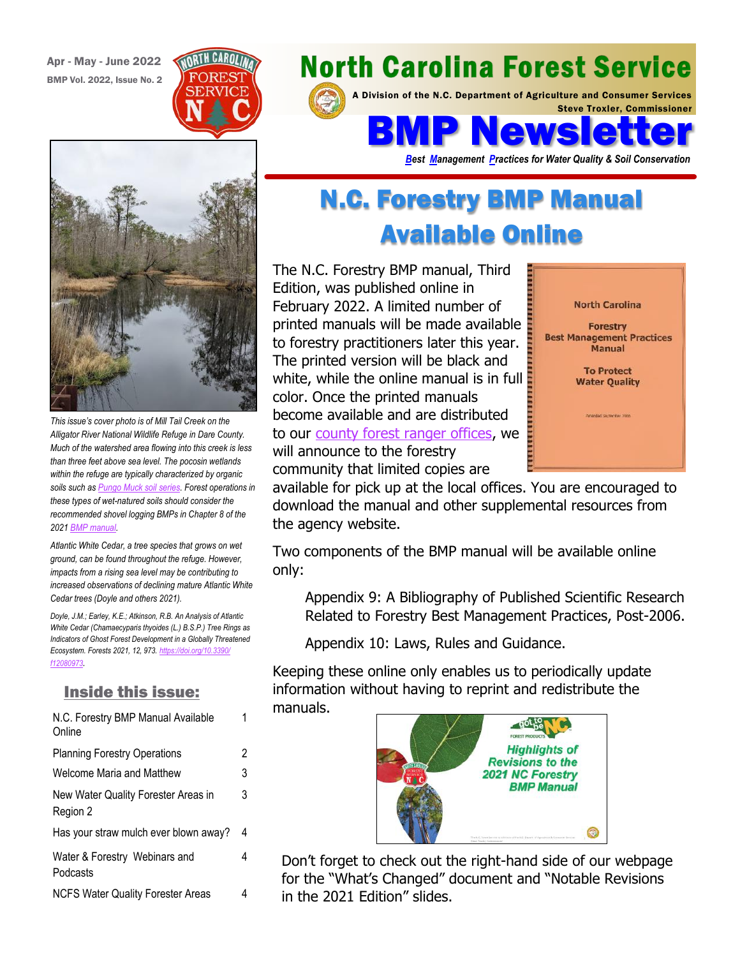Apr - May - June 2022 BMP Vol. 2022, Issue No. 2





*This issue's cover photo is of Mill Tail Creek on the Alligator River National Wildlife Refuge in Dare County. Much of the watershed area flowing into this creek is less than three feet above sea level. The pocosin wetlands within the refuge are typically characterized by organic soils such as [Pungo Muck soil series.](https://soilseries.sc.egov.usda.gov/OSD_Docs/P/PUNGO.html) Forest operations in these types of wet-natured soils should consider the recommended shovel logging BMPs in Chapter 8 of the 2021 [BMP manual.](https://www.ncforestservice.gov/water_quality/bmp_manual.htm)* 

*Atlantic White Cedar, a tree species that grows on wet ground, can be found throughout the refuge. However, impacts from a rising sea level may be contributing to increased observations of declining mature Atlantic White Cedar trees (Doyle and others 2021).* 

*Doyle, J.M.; Earley, K.E.; Atkinson, R.B. An Analysis of Atlantic White Cedar (Chamaecyparis thyoides (L.) B.S.P.) Tree Rings as Indicators of Ghost Forest Development in a Globally Threatened Ecosystem. Forests 2021, 12, 973. [https://doi.org/10.3390/](https://doi.org/10.3390/f12080973) [f12080973](https://doi.org/10.3390/f12080973).*

#### Inside this issue:

| N.C. Forestry BMP Manual Available<br>Online    | 1 |
|-------------------------------------------------|---|
| <b>Planning Forestry Operations</b>             | 2 |
| Welcome Maria and Matthew                       | 3 |
| New Water Quality Forester Areas in<br>Region 2 | 3 |
| Has your straw mulch ever blown away?           | 4 |
| Water & Forestry Webinars and<br>Podcasts       | 4 |
| <b>NCFS Water Quality Forester Areas</b>        | 4 |

# **North Carolina Forest Service**

A Division of the N.C. Department of Agriculture and Consumer Services Steve Troxler, Commissioner

BMP Newsletter

*Best Management Practices for Water Quality & Soil Conservation*

## N.C. Forestry BMP Manual Available Online

The N.C. Forestry BMP manual, Third Edition, was published online in February 2022. A limited number of printed manuals will be made available to forestry practitioners later this year. The printed version will be black and white, while the online manual is in full color. Once the printed manuals become available and are distributed to our [county forest ranger offices,](https://www.ncforestservice.gov/contacts/contacts_main.htm) we will announce to the forestry community that limited copies are



available for pick up at the local offices. You are encouraged to download the manual and other supplemental resources from the agency website.

Two components of the BMP manual will be available online only:

Appendix 9: A Bibliography of Published Scientific Research Related to Forestry Best Management Practices, Post-2006.

Appendix 10: Laws, Rules and Guidance.

Keeping these online only enables us to periodically update information without having to reprint and redistribute the manuals.



Don't forget to check out the right-hand side of our webpage for the "What's Changed" document and "Notable Revisions in the 2021 Edition" slides.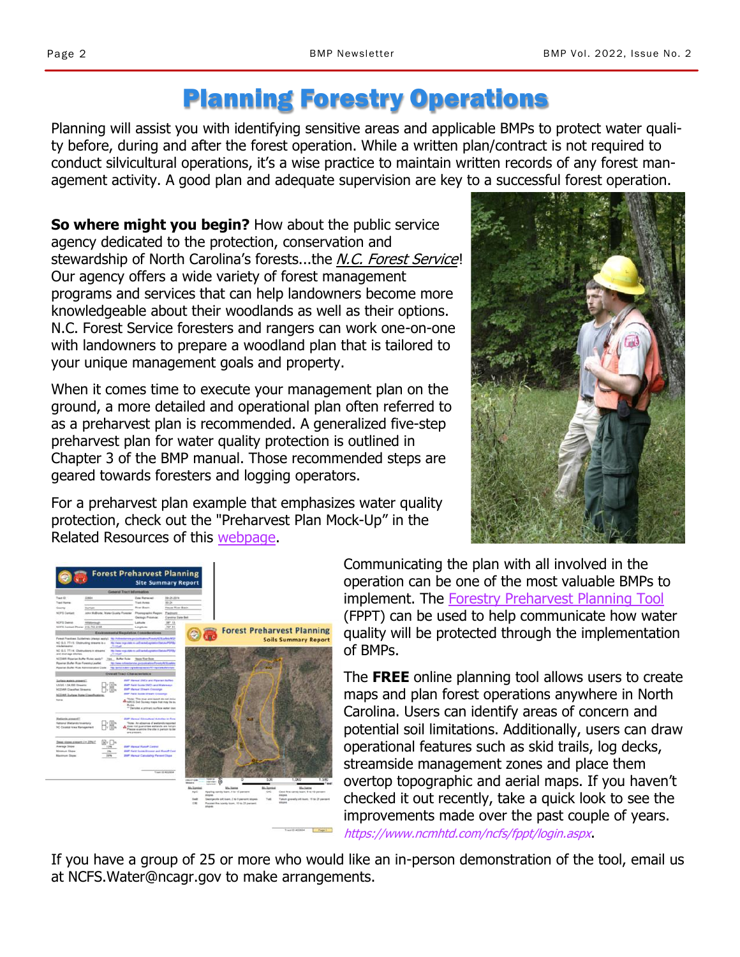### Planning Forestry Operations

Planning will assist you with identifying sensitive areas and applicable BMPs to protect water quality before, during and after the forest operation. While a written plan/contract is not required to conduct silvicultural operations, it's a wise practice to maintain written records of any forest management activity. A good plan and adequate supervision are key to a successful forest operation.

**So where might you begin?** How about the public service agency dedicated to the protection, conservation and stewardship of North Carolina's forests...the N.C. Forest Service! Our agency offers a wide variety of forest management programs and services that can help landowners become more knowledgeable about their woodlands as well as their options. N.C. Forest Service foresters and rangers can work one-on-one with landowners to prepare a woodland plan that is tailored to your unique management goals and property.

When it comes time to execute your management plan on the ground, a more detailed and operational plan often referred to as a preharvest plan is recommended. A generalized five-step preharvest plan for water quality protection is outlined in Chapter 3 of the BMP manual. Those recommended steps are geared towards foresters and logging operators.

For a preharvest plan example that emphasizes water quality protection, check out the "Preharvest Plan Mock-Up" in the Related Resources of this [webpage.](https://www.ncforestservice.gov/healthy_waters/costshare.htm)





Communicating the plan with all involved in the operation can be one of the most valuable BMPs to implement. The [Forestry Preharvest Planning Tool](https://www.ncmhtd.com/ncfs/fppt/login.aspx) (FPPT) can be used to help communicate how water quality will be protected through the implementation of BMPs.

The **FREE** online planning tool allows users to create maps and plan forest operations anywhere in North Carolina. Users can identify areas of concern and potential soil limitations. Additionally, users can draw operational features such as skid trails, log decks, streamside management zones and place them overtop topographic and aerial maps. If you haven't checked it out recently, take a quick look to see the improvements made over the past couple of years. https://www.ncmhtd.com/ncfs/fppt/login.aspx.

If you have a group of 25 or more who would like an in-person demonstration of the tool, email us at NCFS.Water@ncagr.gov to make arrangements.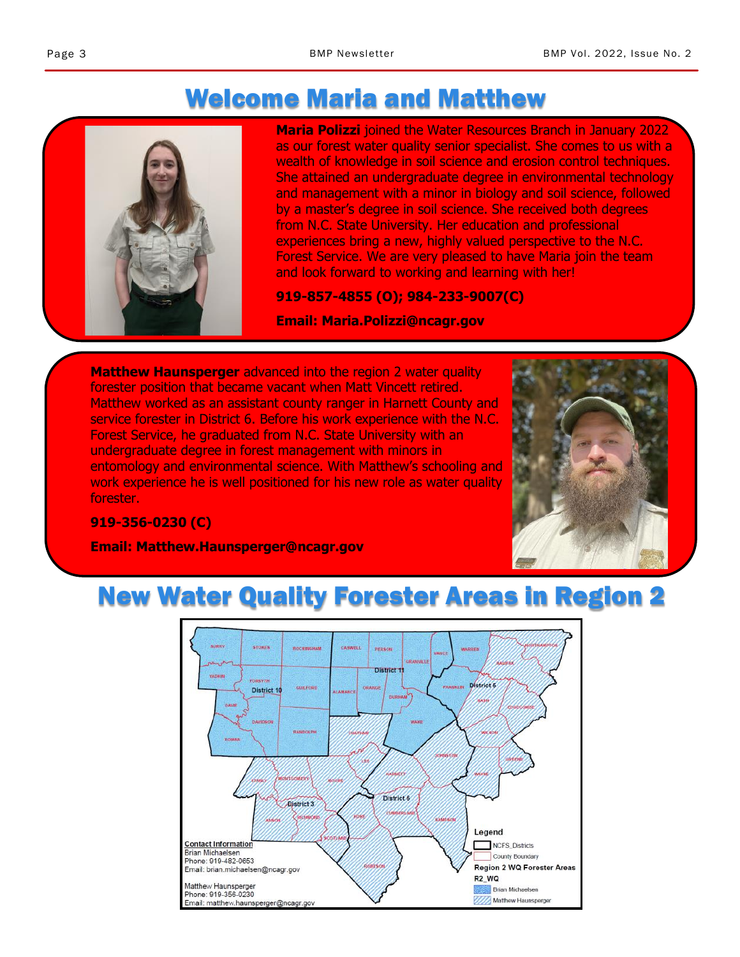### Welcome Maria and Matthew



**Maria Polizzi** joined the Water Resources Branch in January 2022 as our forest water quality senior specialist. She comes to us with a wealth of knowledge in soil science and erosion control techniques. She attained an undergraduate degree in environmental technology and management with a minor in biology and soil science, followed by a master's degree in soil science. She received both degrees from N.C. State University. Her education and professional experiences bring a new, highly valued perspective to the N.C. Forest Service. We are very pleased to have Maria join the team and look forward to working and learning with her!

**919-857-4855 (O); 984-233-9007(C)**

**Email: Maria.Polizzi@ncagr.gov** 

**Matthew Haunsperger** advanced into the region 2 water quality forester position that became vacant when Matt Vincett retired. Matthew worked as an assistant county ranger in Harnett County and service forester in District 6. Before his work experience with the N.C. Forest Service, he graduated from N.C. State University with an undergraduate degree in forest management with minors in entomology and environmental science. With Matthew's schooling and work experience he is well positioned for his new role as water quality forester.



#### **919-356-0230 (C)**

**Email: Matthew.Haunsperger@ncagr.gov** 

### New Water Quality Forester Areas in Region 2